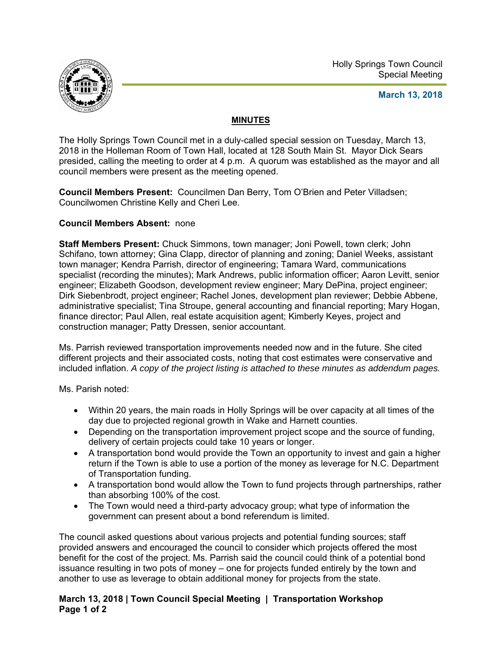

Holly Springs Town Council Special Meeting

## **March 13, 2018**

## **MINUTES**

The Holly Springs Town Council met in a duly-called special session on Tuesday, March 13, 2018 in the Holleman Room of Town Hall, located at 128 South Main St. Mayor Dick Sears presided, calling the meeting to order at 4 p.m. A quorum was established as the mayor and all council members were present as the meeting opened.

**Council Members Present:** Councilmen Dan Berry, Tom O'Brien and Peter Villadsen; Councilwomen Christine Kelly and Cheri Lee.

## **Council Members Absent:** none

**Staff Members Present:** Chuck Simmons, town manager; Joni Powell, town clerk; John Schifano, town attorney; Gina Clapp, director of planning and zoning; Daniel Weeks, assistant town manager; Kendra Parrish, director of engineering; Tamara Ward, communications specialist (recording the minutes); Mark Andrews, public information officer; Aaron Levitt, senior engineer; Elizabeth Goodson, development review engineer; Mary DePina, project engineer; Dirk Siebenbrodt, project engineer; Rachel Jones, development plan reviewer; Debbie Abbene, administrative specialist; Tina Stroupe, general accounting and financial reporting; Mary Hogan, finance director; Paul Allen, real estate acquisition agent; Kimberly Keyes, project and construction manager; Patty Dressen, senior accountant.

Ms. Parrish reviewed transportation improvements needed now and in the future. She cited different projects and their associated costs, noting that cost estimates were conservative and included inflation. *A copy of the project listing is attached to these minutes as addendum pages.* 

Ms. Parish noted:

- Within 20 years, the main roads in Holly Springs will be over capacity at all times of the day due to projected regional growth in Wake and Harnett counties.
- Depending on the transportation improvement project scope and the source of funding, delivery of certain projects could take 10 years or longer.
- A transportation bond would provide the Town an opportunity to invest and gain a higher return if the Town is able to use a portion of the money as leverage for N.C. Department of Transportation funding.
- A transportation bond would allow the Town to fund projects through partnerships, rather than absorbing 100% of the cost.
- The Town would need a third-party advocacy group; what type of information the government can present about a bond referendum is limited.

The council asked questions about various projects and potential funding sources; staff provided answers and encouraged the council to consider which projects offered the most benefit for the cost of the project. Ms. Parrish said the council could think of a potential bond issuance resulting in two pots of money – one for projects funded entirely by the town and another to use as leverage to obtain additional money for projects from the state.

## **March 13, 2018 | Town Council Special Meeting | Transportation Workshop Page 1 of 2**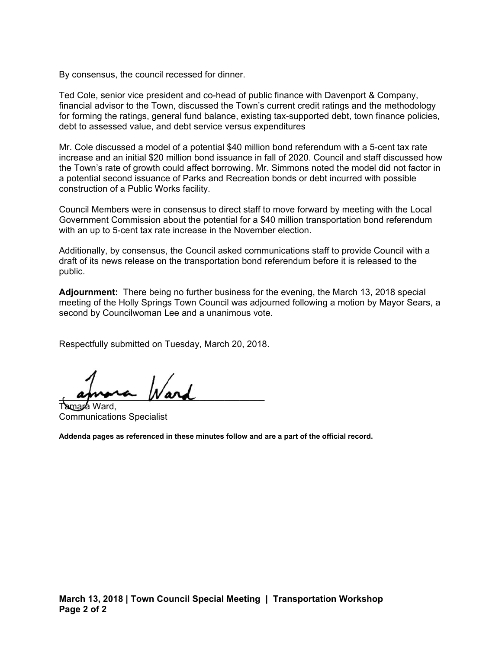By consensus, the council recessed for dinner.

Ted Cole, senior vice president and co-head of public finance with Davenport & Company, financial advisor to the Town, discussed the Town's current credit ratings and the methodology for forming the ratings, general fund balance, existing tax-supported debt, town finance policies, debt to assessed value, and debt service versus expenditures

Mr. Cole discussed a model of a potential \$40 million bond referendum with a 5-cent tax rate increase and an initial \$20 million bond issuance in fall of 2020. Council and staff discussed how the Town's rate of growth could affect borrowing. Mr. Simmons noted the model did not factor in a potential second issuance of Parks and Recreation bonds or debt incurred with possible construction of a Public Works facility.

Council Members were in consensus to direct staff to move forward by meeting with the Local Government Commission about the potential for a \$40 million transportation bond referendum with an up to 5-cent tax rate increase in the November election.

Additionally, by consensus, the Council asked communications staff to provide Council with a draft of its news release on the transportation bond referendum before it is released to the public.

**Adjournment:** There being no further business for the evening, the March 13, 2018 special meeting of the Holly Springs Town Council was adjourned following a motion by Mayor Sears, a second by Councilwoman Lee and a unanimous vote.

Respectfully submitted on Tuesday, March 20, 2018.

 $\mu$  aprova para Ward.

Communications Specialist

**Addenda pages as referenced in these minutes follow and are a part of the official record.**